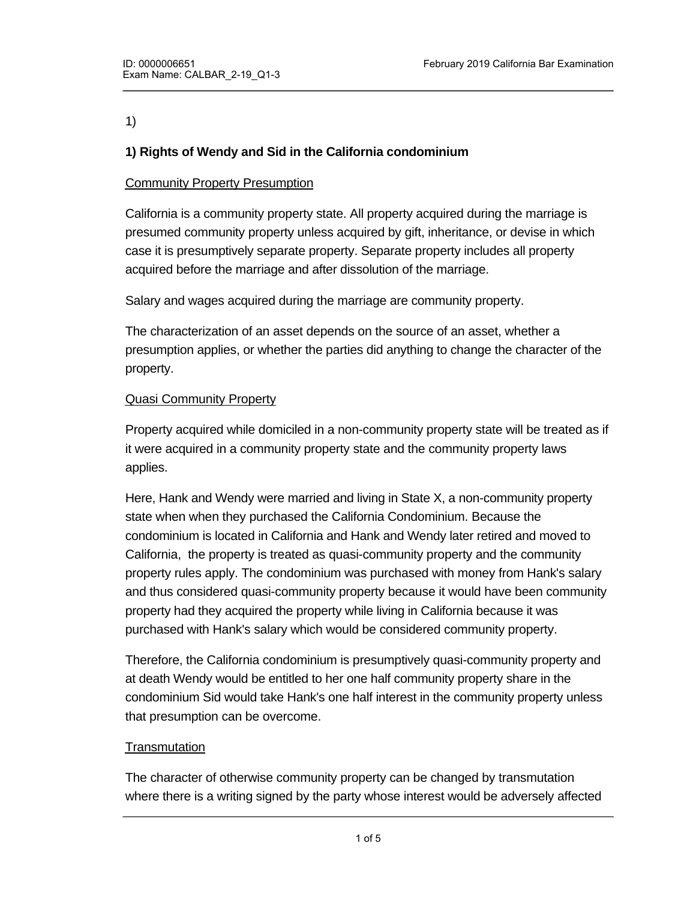# 1)

# **1) Rights of Wendy and Sid in the California condominium**

# Community Property Presumption

California is a community property state. All property acquired during the marriage is presumed community property unless acquired by gift, inheritance, or devise in which case it is presumptively separate property. Separate property includes all property acquired before the marriage and after dissolution of the marriage.

Salary and wages acquired during the marriage are community property.

The characterization of an asset depends on the source of an asset, whether a presumption applies, or whether the parties did anything to change the character of the property.

# **Quasi Community Property**

Property acquired while domiciled in a non-community property state will be treated as if it were acquired in a community property state and the community property laws applies.

Here, Hank and Wendy were married and living in State X, a non-community property state when when they purchased the California Condominium. Because the condominium is located in California and Hank and Wendy later retired and moved to California, the property is treated as quasi-community property and the community property rules apply. The condominium was purchased with money from Hank's salary and thus considered quasi-community property because it would have been community property had they acquired the property while living in California because it was purchased with Hank's salary which would be considered community property.

Therefore, the California condominium is presumptively quasi-community property and at death Wendy would be entitled to her one half community property share in the condominium Sid would take Hank's one half interest in the community property unless that presumption can be overcome.

# **Transmutation**

The character of otherwise community property can be changed by transmutation where there is a writing signed by the party whose interest would be adversely affected

agreement to the change in the character of the character of the property from community property  $\alpha$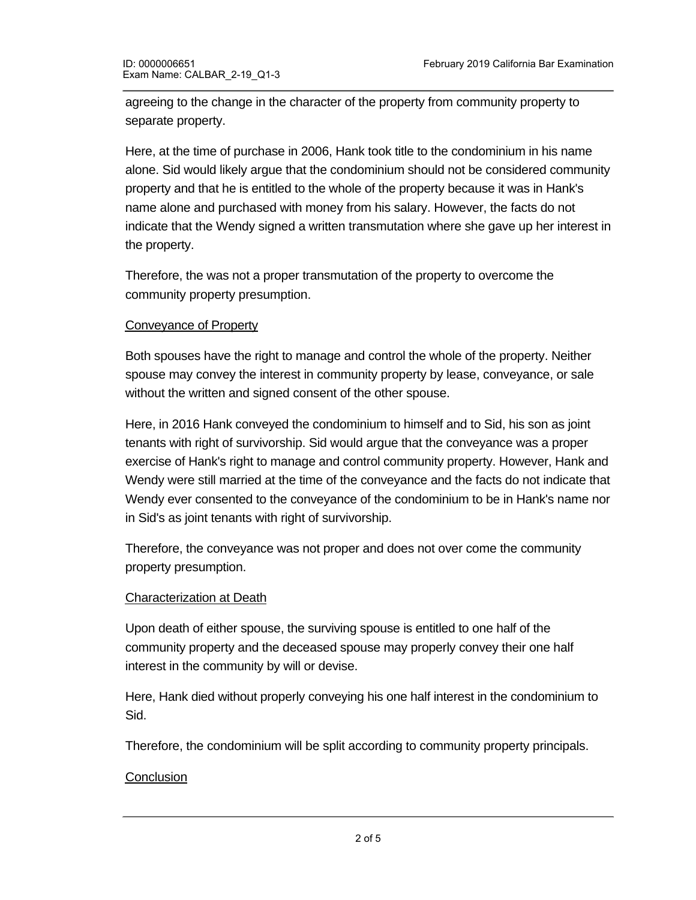agreeing to the change in the character of the property from community property to separate property.

Here, at the time of purchase in 2006, Hank took title to the condominium in his name alone. Sid would likely argue that the condominium should not be considered community property and that he is entitled to the whole of the property because it was in Hank's name alone and purchased with money from his salary. However, the facts do not indicate that the Wendy signed a written transmutation where she gave up her interest in the property.

Therefore, the was not a proper transmutation of the property to overcome the community property presumption.

# Conveyance of Property

Both spouses have the right to manage and control the whole of the property. Neither spouse may convey the interest in community property by lease, conveyance, or sale without the written and signed consent of the other spouse.

Here, in 2016 Hank conveyed the condominium to himself and to Sid, his son as joint tenants with right of survivorship. Sid would argue that the conveyance was a proper exercise of Hank's right to manage and control community property. However, Hank and Wendy were still married at the time of the conveyance and the facts do not indicate that Wendy ever consented to the conveyance of the condominium to be in Hank's name nor in Sid's as joint tenants with right of survivorship.

Therefore, the conveyance was not proper and does not over come the community property presumption.

# Characterization at Death

Upon death of either spouse, the surviving spouse is entitled to one half of the community property and the deceased spouse may properly convey their one half interest in the community by will or devise.

Here, Hank died without properly conveying his one half interest in the condominium to Sid.

Therefore, the condominium will be split according to community property principals.

# **Conclusion**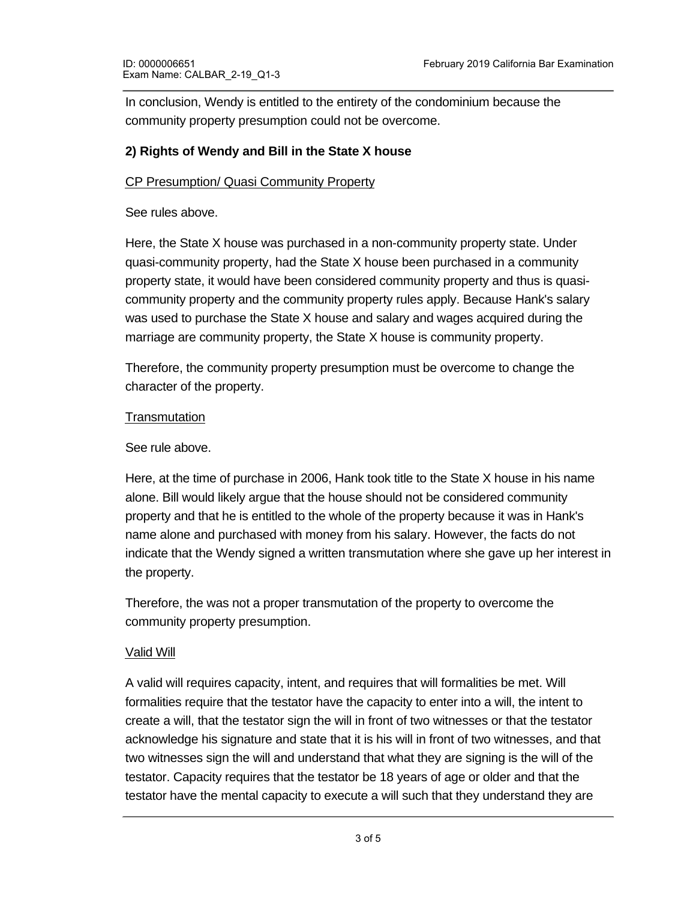In conclusion, Wendy is entitled to the entirety of the condominium because the community property presumption could not be overcome.

# **2) Rights of Wendy and Bill in the State X house**

# CP Presumption/ Quasi Community Property

See rules above.

Here, the State X house was purchased in a non-community property state. Under quasi-community property, had the State X house been purchased in a community property state, it would have been considered community property and thus is quasicommunity property and the community property rules apply. Because Hank's salary was used to purchase the State X house and salary and wages acquired during the marriage are community property, the State X house is community property.

Therefore, the community property presumption must be overcome to change the character of the property.

#### **Transmutation**

#### See rule above.

Here, at the time of purchase in 2006, Hank took title to the State X house in his name alone. Bill would likely argue that the house should not be considered community property and that he is entitled to the whole of the property because it was in Hank's name alone and purchased with money from his salary. However, the facts do not indicate that the Wendy signed a written transmutation where she gave up her interest in the property.

Therefore, the was not a proper transmutation of the property to overcome the community property presumption.

# Valid Will

A valid will requires capacity, intent, and requires that will formalities be met. Will formalities require that the testator have the capacity to enter into a will, the intent to create a will, that the testator sign the will in front of two witnesses or that the testator acknowledge his signature and state that it is his will in front of two witnesses, and that two witnesses sign the will and understand that what they are signing is the will of the testator. Capacity requires that the testator be 18 years of age or older and that the testator have the mental capacity to execute a will such that they understand they are

creating a will, the nature of the nature of the nature of the nature of the intervals and those who those who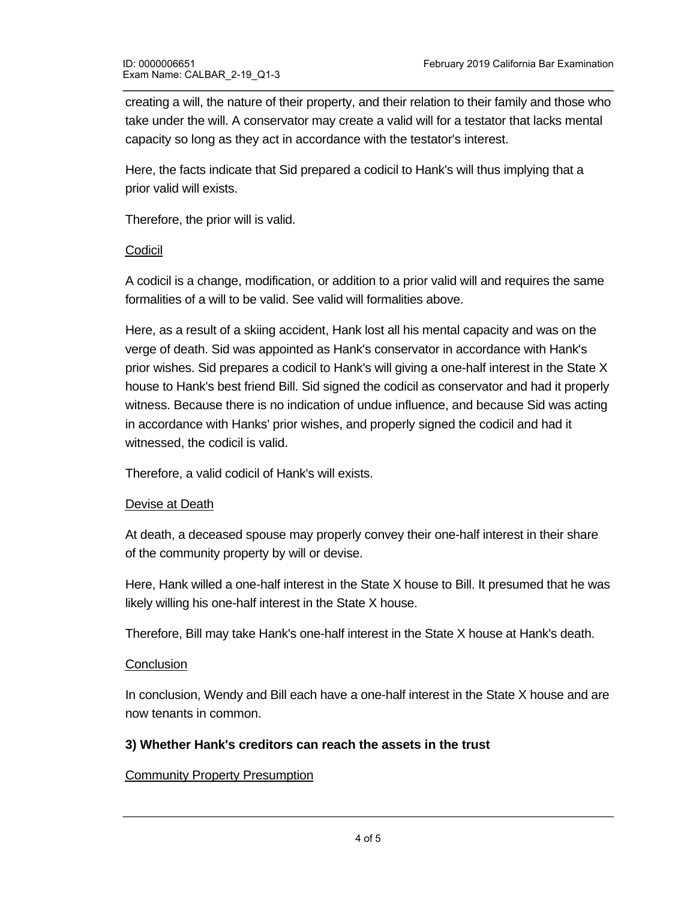creating a will, the nature of their property, and their relation to their family and those who take under the will. A conservator may create a valid will for a testator that lacks mental capacity so long as they act in accordance with the testator's interest.

Here, the facts indicate that Sid prepared a codicil to Hank's will thus implying that a prior valid will exists.

Therefore, the prior will is valid.

# Codicil

A codicil is a change, modification, or addition to a prior valid will and requires the same formalities of a will to be valid. See valid will formalities above.

Here, as a result of a skiing accident, Hank lost all his mental capacity and was on the verge of death. Sid was appointed as Hank's conservator in accordance with Hank's prior wishes. Sid prepares a codicil to Hank's will giving a one-half interest in the State X house to Hank's best friend Bill. Sid signed the codicil as conservator and had it properly witness. Because there is no indication of undue influence, and because Sid was acting in accordance with Hanks' prior wishes, and properly signed the codicil and had it witnessed, the codicil is valid.

Therefore, a valid codicil of Hank's will exists.

# Devise at Death

At death, a deceased spouse may properly convey their one-half interest in their share of the community property by will or devise.

Here, Hank willed a one-half interest in the State X house to Bill. It presumed that he was likely willing his one-half interest in the State X house.

Therefore, Bill may take Hank's one-half interest in the State X house at Hank's death.

# **Conclusion**

In conclusion, Wendy and Bill each have a one-half interest in the State X house and are now tenants in common.

# **3) Whether Hank's creditors can reach the assets in the trust**

# Community Property Presumption